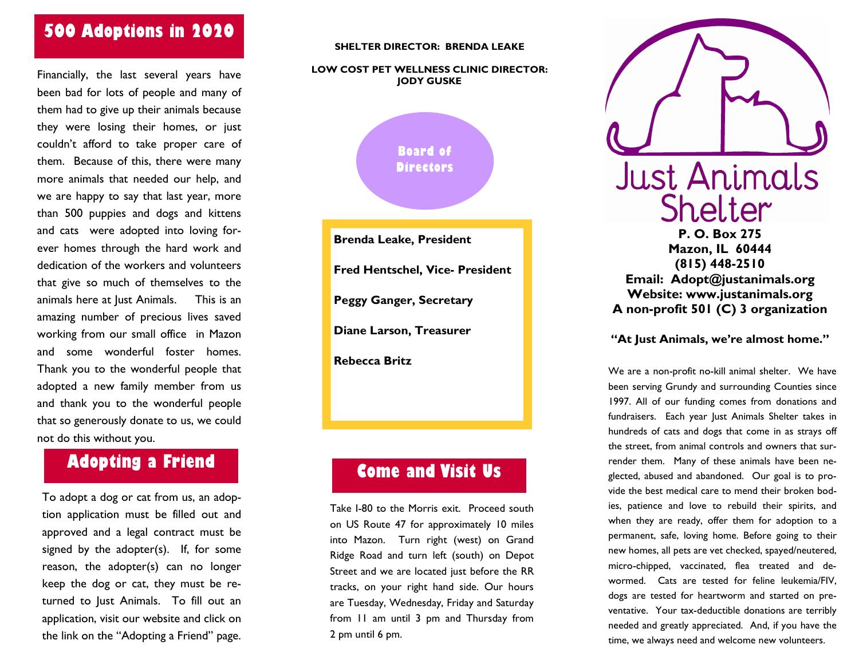# 500 Adoptions in 2020

Financially, the last several years have been bad for lots of people and many of them had to give up their animals because they were losing their homes, or just couldn't afford to take proper care of them. Because of this, there were many more animals that needed our help, and we are happy to say that last year, more than 500 puppies and dogs and kittens and cats were adopted into loving forever homes through the hard work and dedication of the workers and volunteers that give so much of themselves to the animals here at Just Animals. This is an amazing number of precious lives saved working from our small office in Mazon and some wonderful foster homes. Thank you to the wonderful people that adopted a new family member from us and thank you to the wonderful people that so generously donate to us, we could not do this without you.

### Adopting a Friend

To adopt a dog or cat from us, an adoption application must be filled out and approved and a legal contract must be signed by the adopter(s). If, for some reason, the adopter(s) can no longer keep the dog or cat, they must be returned to Just Animals. To fill out an application, visit our website and click on the link on the "Adopting a Friend" page.

#### SHELTER DIRECTOR: BRENDA LEAKE

#### LOW COST PET WELLNESS CLINIC DIRECTOR: JODY GUSKE



Brenda Leake, President Fred Hentschel, Vice- President Peggy Ganger, Secretary Diane Larson, Treasurer Rebecca Britz

## Come and Visit Us

Take I-80 to the Morris exit. Proceed south on US Route 47 for approximately 10 miles into Mazon. Turn right (west) on Grand Ridge Road and turn left (south) on Depot Street and we are located just before the RR tracks, on your right hand side. Our hours are Tuesday, Wednesday, Friday and Saturday from 11 am until 3 pm and Thursday from 2 pm until 6 pm.



#### "At Just Animals, we're almost home."

We are a non-profit no-kill animal shelter. We have been serving Grundy and surrounding Counties since 1997. All of our funding comes from donations and fundraisers. Each year Just Animals Shelter takes in hundreds of cats and dogs that come in as strays off the street, from animal controls and owners that surrender them. Many of these animals have been neglected, abused and abandoned. Our goal is to provide the best medical care to mend their broken bodies, patience and love to rebuild their spirits, and when they are ready, offer them for adoption to a permanent, safe, loving home. Before going to their new homes, all pets are vet checked, spayed/neutered, micro-chipped, vaccinated, flea treated and dewormed. Cats are tested for feline leukemia/FIV, dogs are tested for heartworm and started on preventative. Your tax-deductible donations are terribly needed and greatly appreciated. And, if you have the time, we always need and welcome new volunteers.